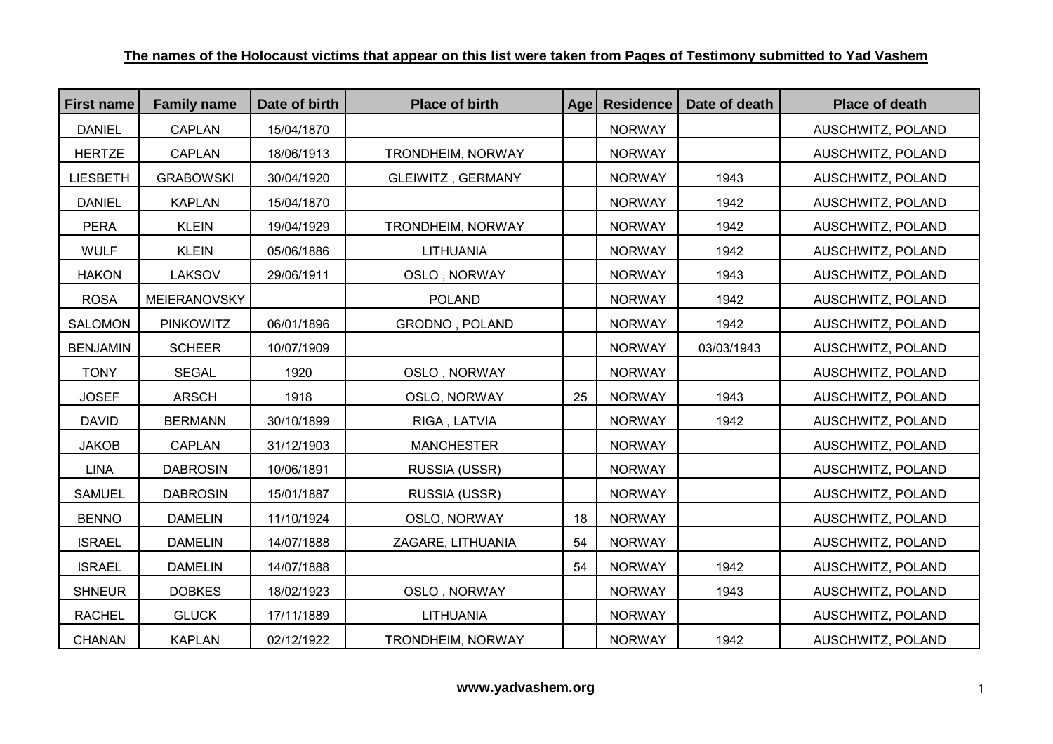| <b>First name</b> | <b>Family name</b> | Date of birth | <b>Place of birth</b>    | Agel | <b>Residence</b> | Date of death | <b>Place of death</b> |
|-------------------|--------------------|---------------|--------------------------|------|------------------|---------------|-----------------------|
| <b>DANIEL</b>     | <b>CAPLAN</b>      | 15/04/1870    |                          |      | <b>NORWAY</b>    |               | AUSCHWITZ, POLAND     |
| <b>HERTZE</b>     | <b>CAPLAN</b>      | 18/06/1913    | TRONDHEIM, NORWAY        |      | <b>NORWAY</b>    |               | AUSCHWITZ, POLAND     |
| <b>LIESBETH</b>   | <b>GRABOWSKI</b>   | 30/04/1920    | <b>GLEIWITZ, GERMANY</b> |      | <b>NORWAY</b>    | 1943          | AUSCHWITZ, POLAND     |
| <b>DANIEL</b>     | <b>KAPLAN</b>      | 15/04/1870    |                          |      | <b>NORWAY</b>    | 1942          | AUSCHWITZ, POLAND     |
| <b>PERA</b>       | <b>KLEIN</b>       | 19/04/1929    | <b>TRONDHEIM, NORWAY</b> |      | <b>NORWAY</b>    | 1942          | AUSCHWITZ, POLAND     |
| <b>WULF</b>       | <b>KLEIN</b>       | 05/06/1886    | <b>LITHUANIA</b>         |      | <b>NORWAY</b>    | 1942          | AUSCHWITZ, POLAND     |
| <b>HAKON</b>      | LAKSOV             | 29/06/1911    | OSLO, NORWAY             |      | <b>NORWAY</b>    | 1943          | AUSCHWITZ, POLAND     |
| <b>ROSA</b>       | MEIERANOVSKY       |               | <b>POLAND</b>            |      | <b>NORWAY</b>    | 1942          | AUSCHWITZ, POLAND     |
| SALOMON           | <b>PINKOWITZ</b>   | 06/01/1896    | <b>GRODNO, POLAND</b>    |      | <b>NORWAY</b>    | 1942          | AUSCHWITZ, POLAND     |
| <b>BENJAMIN</b>   | <b>SCHEER</b>      | 10/07/1909    |                          |      | <b>NORWAY</b>    | 03/03/1943    | AUSCHWITZ, POLAND     |
| <b>TONY</b>       | <b>SEGAL</b>       | 1920          | OSLO, NORWAY             |      | <b>NORWAY</b>    |               | AUSCHWITZ, POLAND     |
| <b>JOSEF</b>      | <b>ARSCH</b>       | 1918          | OSLO, NORWAY             | 25   | <b>NORWAY</b>    | 1943          | AUSCHWITZ, POLAND     |
| <b>DAVID</b>      | <b>BERMANN</b>     | 30/10/1899    | RIGA, LATVIA             |      | <b>NORWAY</b>    | 1942          | AUSCHWITZ, POLAND     |
| <b>JAKOB</b>      | <b>CAPLAN</b>      | 31/12/1903    | <b>MANCHESTER</b>        |      | <b>NORWAY</b>    |               | AUSCHWITZ, POLAND     |
| <b>LINA</b>       | <b>DABROSIN</b>    | 10/06/1891    | RUSSIA (USSR)            |      | <b>NORWAY</b>    |               | AUSCHWITZ, POLAND     |
| <b>SAMUEL</b>     | <b>DABROSIN</b>    | 15/01/1887    | RUSSIA (USSR)            |      | <b>NORWAY</b>    |               | AUSCHWITZ, POLAND     |
| <b>BENNO</b>      | <b>DAMELIN</b>     | 11/10/1924    | OSLO, NORWAY             | 18   | <b>NORWAY</b>    |               | AUSCHWITZ, POLAND     |
| <b>ISRAEL</b>     | <b>DAMELIN</b>     | 14/07/1888    | ZAGARE, LITHUANIA        | 54   | <b>NORWAY</b>    |               | AUSCHWITZ, POLAND     |
| <b>ISRAEL</b>     | <b>DAMELIN</b>     | 14/07/1888    |                          | 54   | <b>NORWAY</b>    | 1942          | AUSCHWITZ, POLAND     |
| <b>SHNEUR</b>     | <b>DOBKES</b>      | 18/02/1923    | OSLO, NORWAY             |      | <b>NORWAY</b>    | 1943          | AUSCHWITZ, POLAND     |
| <b>RACHEL</b>     | <b>GLUCK</b>       | 17/11/1889    | <b>LITHUANIA</b>         |      | <b>NORWAY</b>    |               | AUSCHWITZ, POLAND     |
| <b>CHANAN</b>     | <b>KAPLAN</b>      | 02/12/1922    | <b>TRONDHEIM, NORWAY</b> |      | <b>NORWAY</b>    | 1942          | AUSCHWITZ, POLAND     |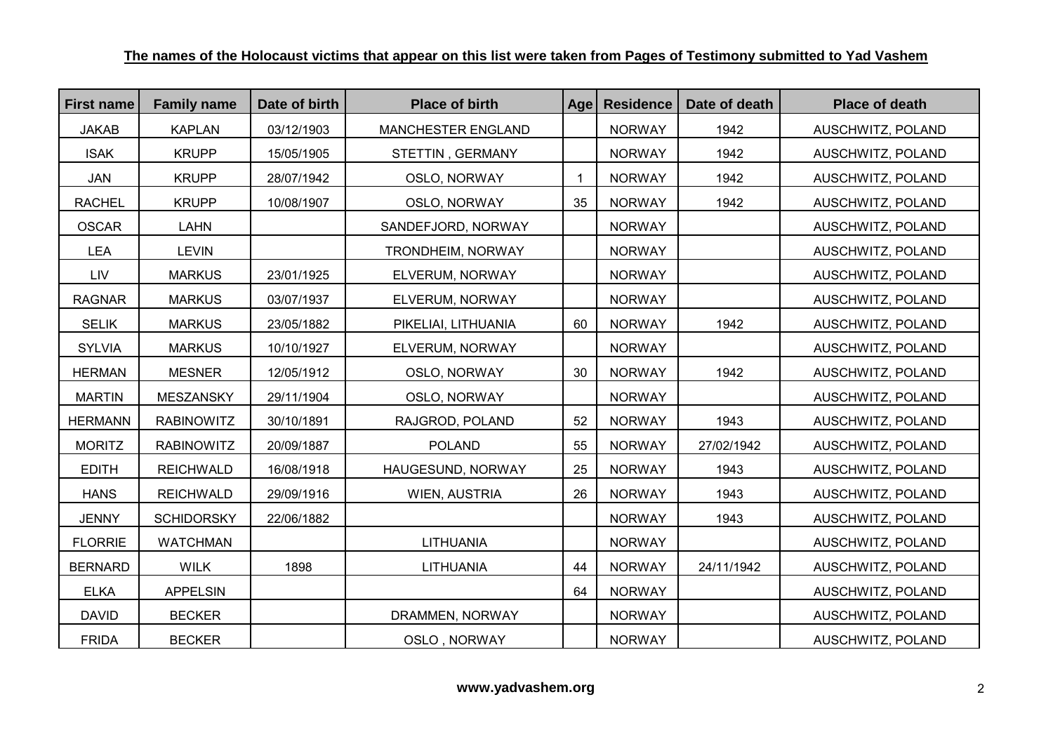| <b>First name</b> | <b>Family name</b> | Date of birth | <b>Place of birth</b> | Age | <b>Residence</b> | Date of death | <b>Place of death</b> |
|-------------------|--------------------|---------------|-----------------------|-----|------------------|---------------|-----------------------|
| <b>JAKAB</b>      | <b>KAPLAN</b>      | 03/12/1903    | MANCHESTER ENGLAND    |     | <b>NORWAY</b>    | 1942          | AUSCHWITZ, POLAND     |
| <b>ISAK</b>       | <b>KRUPP</b>       | 15/05/1905    | STETTIN, GERMANY      |     | <b>NORWAY</b>    | 1942          | AUSCHWITZ, POLAND     |
| <b>JAN</b>        | <b>KRUPP</b>       | 28/07/1942    | OSLO, NORWAY          | 1   | <b>NORWAY</b>    | 1942          | AUSCHWITZ, POLAND     |
| <b>RACHEL</b>     | <b>KRUPP</b>       | 10/08/1907    | OSLO, NORWAY          | 35  | <b>NORWAY</b>    | 1942          | AUSCHWITZ, POLAND     |
| <b>OSCAR</b>      | <b>LAHN</b>        |               | SANDEFJORD, NORWAY    |     | <b>NORWAY</b>    |               | AUSCHWITZ, POLAND     |
| <b>LEA</b>        | <b>LEVIN</b>       |               | TRONDHEIM, NORWAY     |     | <b>NORWAY</b>    |               | AUSCHWITZ, POLAND     |
| LIV               | <b>MARKUS</b>      | 23/01/1925    | ELVERUM, NORWAY       |     | <b>NORWAY</b>    |               | AUSCHWITZ, POLAND     |
| <b>RAGNAR</b>     | <b>MARKUS</b>      | 03/07/1937    | ELVERUM, NORWAY       |     | <b>NORWAY</b>    |               | AUSCHWITZ, POLAND     |
| <b>SELIK</b>      | <b>MARKUS</b>      | 23/05/1882    | PIKELIAI, LITHUANIA   | 60  | <b>NORWAY</b>    | 1942          | AUSCHWITZ, POLAND     |
| <b>SYLVIA</b>     | <b>MARKUS</b>      | 10/10/1927    | ELVERUM, NORWAY       |     | <b>NORWAY</b>    |               | AUSCHWITZ, POLAND     |
| <b>HERMAN</b>     | <b>MESNER</b>      | 12/05/1912    | OSLO, NORWAY          | 30  | <b>NORWAY</b>    | 1942          | AUSCHWITZ, POLAND     |
| <b>MARTIN</b>     | <b>MESZANSKY</b>   | 29/11/1904    | OSLO, NORWAY          |     | <b>NORWAY</b>    |               | AUSCHWITZ, POLAND     |
| <b>HERMANN</b>    | <b>RABINOWITZ</b>  | 30/10/1891    | RAJGROD, POLAND       | 52  | <b>NORWAY</b>    | 1943          | AUSCHWITZ, POLAND     |
| <b>MORITZ</b>     | <b>RABINOWITZ</b>  | 20/09/1887    | <b>POLAND</b>         | 55  | <b>NORWAY</b>    | 27/02/1942    | AUSCHWITZ, POLAND     |
| <b>EDITH</b>      | <b>REICHWALD</b>   | 16/08/1918    | HAUGESUND, NORWAY     | 25  | <b>NORWAY</b>    | 1943          | AUSCHWITZ, POLAND     |
| <b>HANS</b>       | <b>REICHWALD</b>   | 29/09/1916    | WIEN, AUSTRIA         | 26  | <b>NORWAY</b>    | 1943          | AUSCHWITZ, POLAND     |
| <b>JENNY</b>      | <b>SCHIDORSKY</b>  | 22/06/1882    |                       |     | <b>NORWAY</b>    | 1943          | AUSCHWITZ, POLAND     |
| <b>FLORRIE</b>    | <b>WATCHMAN</b>    |               | <b>LITHUANIA</b>      |     | <b>NORWAY</b>    |               | AUSCHWITZ, POLAND     |
| <b>BERNARD</b>    | <b>WILK</b>        | 1898          | LITHUANIA             | 44  | <b>NORWAY</b>    | 24/11/1942    | AUSCHWITZ, POLAND     |
| <b>ELKA</b>       | <b>APPELSIN</b>    |               |                       | 64  | <b>NORWAY</b>    |               | AUSCHWITZ, POLAND     |
| <b>DAVID</b>      | <b>BECKER</b>      |               | DRAMMEN, NORWAY       |     | <b>NORWAY</b>    |               | AUSCHWITZ, POLAND     |
| <b>FRIDA</b>      | <b>BECKER</b>      |               | OSLO, NORWAY          |     | <b>NORWAY</b>    |               | AUSCHWITZ, POLAND     |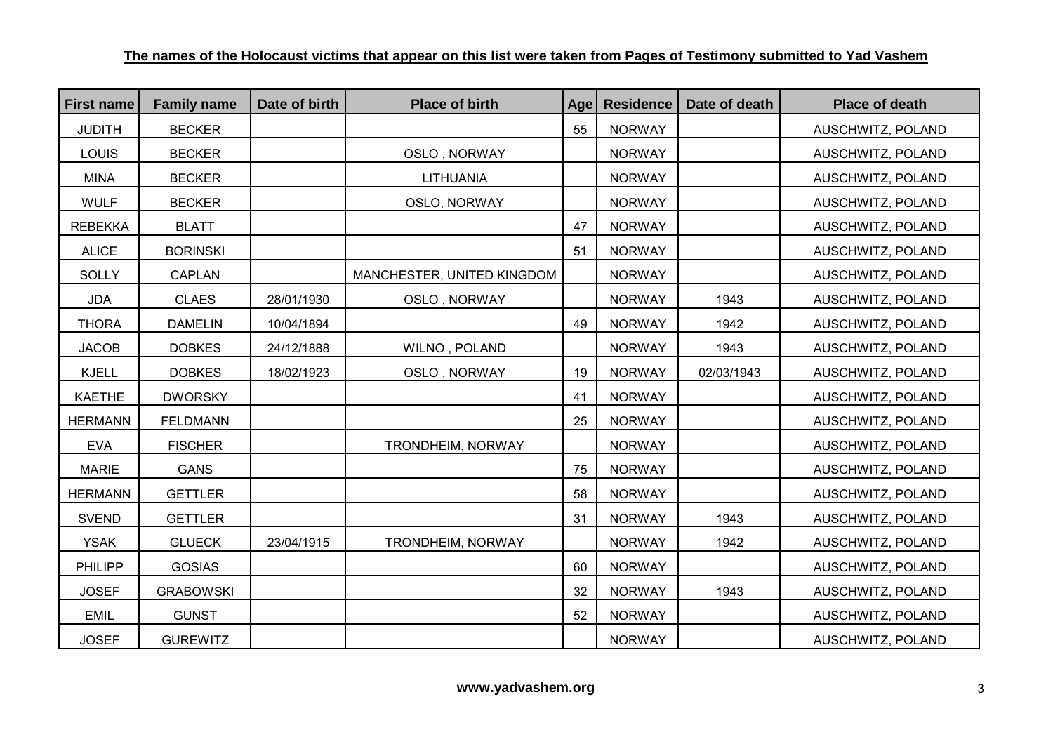| <b>First name</b> | <b>Family name</b> | Date of birth | <b>Place of birth</b>      | Age | <b>Residence</b> | Date of death | <b>Place of death</b>    |
|-------------------|--------------------|---------------|----------------------------|-----|------------------|---------------|--------------------------|
| <b>JUDITH</b>     | <b>BECKER</b>      |               |                            | 55  | <b>NORWAY</b>    |               | AUSCHWITZ, POLAND        |
| <b>LOUIS</b>      | <b>BECKER</b>      |               | OSLO, NORWAY               |     | <b>NORWAY</b>    |               | AUSCHWITZ, POLAND        |
| <b>MINA</b>       | <b>BECKER</b>      |               | <b>LITHUANIA</b>           |     | <b>NORWAY</b>    |               | AUSCHWITZ, POLAND        |
| <b>WULF</b>       | <b>BECKER</b>      |               | OSLO, NORWAY               |     | <b>NORWAY</b>    |               | AUSCHWITZ, POLAND        |
| <b>REBEKKA</b>    | <b>BLATT</b>       |               |                            | 47  | <b>NORWAY</b>    |               | AUSCHWITZ, POLAND        |
| <b>ALICE</b>      | <b>BORINSKI</b>    |               |                            | 51  | <b>NORWAY</b>    |               | AUSCHWITZ, POLAND        |
| <b>SOLLY</b>      | <b>CAPLAN</b>      |               | MANCHESTER, UNITED KINGDOM |     | <b>NORWAY</b>    |               | AUSCHWITZ, POLAND        |
| <b>JDA</b>        | <b>CLAES</b>       | 28/01/1930    | OSLO, NORWAY               |     | <b>NORWAY</b>    | 1943          | AUSCHWITZ, POLAND        |
| <b>THORA</b>      | <b>DAMELIN</b>     | 10/04/1894    |                            | 49  | <b>NORWAY</b>    | 1942          | AUSCHWITZ, POLAND        |
| <b>JACOB</b>      | <b>DOBKES</b>      | 24/12/1888    | WILNO, POLAND              |     | <b>NORWAY</b>    | 1943          | AUSCHWITZ, POLAND        |
| <b>KJELL</b>      | <b>DOBKES</b>      | 18/02/1923    | OSLO, NORWAY               | 19  | <b>NORWAY</b>    | 02/03/1943    | AUSCHWITZ, POLAND        |
| <b>KAETHE</b>     | <b>DWORSKY</b>     |               |                            | 41  | <b>NORWAY</b>    |               | AUSCHWITZ, POLAND        |
| <b>HERMANN</b>    | <b>FELDMANN</b>    |               |                            | 25  | <b>NORWAY</b>    |               | AUSCHWITZ, POLAND        |
| <b>EVA</b>        | <b>FISCHER</b>     |               | TRONDHEIM, NORWAY          |     | <b>NORWAY</b>    |               | AUSCHWITZ, POLAND        |
| <b>MARIE</b>      | <b>GANS</b>        |               |                            | 75  | <b>NORWAY</b>    |               | AUSCHWITZ, POLAND        |
| <b>HERMANN</b>    | <b>GETTLER</b>     |               |                            | 58  | <b>NORWAY</b>    |               | AUSCHWITZ, POLAND        |
| <b>SVEND</b>      | <b>GETTLER</b>     |               |                            | 31  | <b>NORWAY</b>    | 1943          | AUSCHWITZ, POLAND        |
| <b>YSAK</b>       | <b>GLUECK</b>      | 23/04/1915    | <b>TRONDHEIM, NORWAY</b>   |     | <b>NORWAY</b>    | 1942          | AUSCHWITZ, POLAND        |
| <b>PHILIPP</b>    | <b>GOSIAS</b>      |               |                            | 60  | <b>NORWAY</b>    |               | AUSCHWITZ, POLAND        |
| <b>JOSEF</b>      | <b>GRABOWSKI</b>   |               |                            | 32  | <b>NORWAY</b>    | 1943          | AUSCHWITZ, POLAND        |
| <b>EMIL</b>       | <b>GUNST</b>       |               |                            | 52  | <b>NORWAY</b>    |               | AUSCHWITZ, POLAND        |
| <b>JOSEF</b>      | <b>GUREWITZ</b>    |               |                            |     | <b>NORWAY</b>    |               | <b>AUSCHWITZ, POLAND</b> |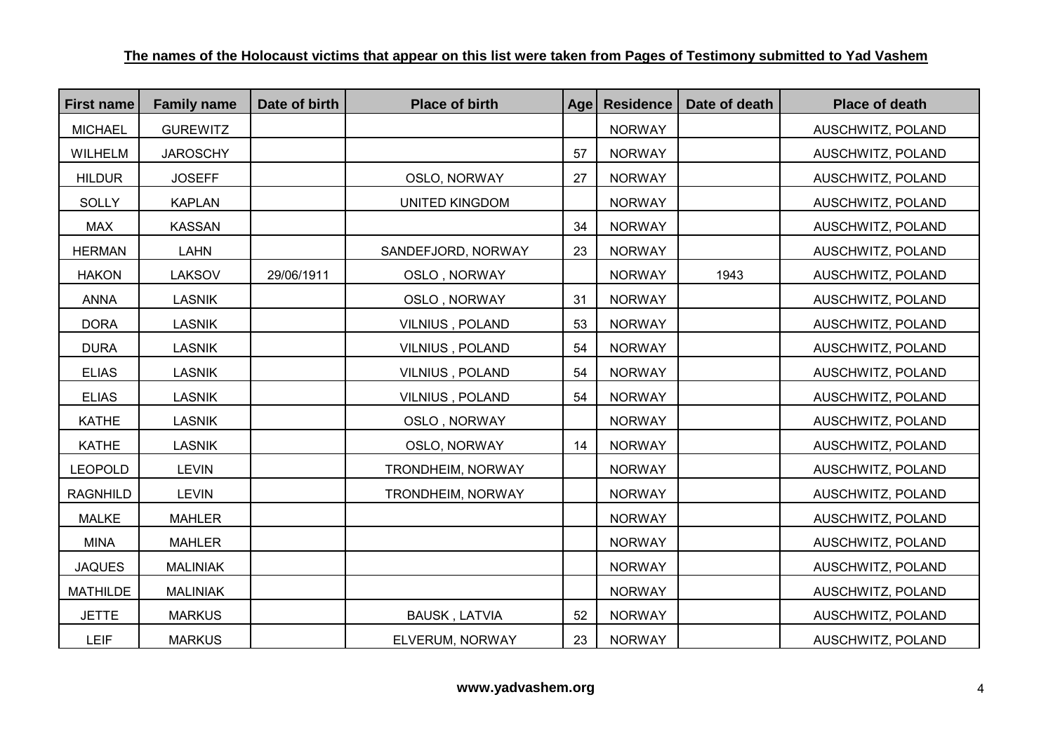| <b>First name</b> | <b>Family name</b> | Date of birth | <b>Place of birth</b> | Age | <b>Residence</b> | Date of death | <b>Place of death</b> |
|-------------------|--------------------|---------------|-----------------------|-----|------------------|---------------|-----------------------|
| <b>MICHAEL</b>    | <b>GUREWITZ</b>    |               |                       |     | <b>NORWAY</b>    |               | AUSCHWITZ, POLAND     |
| WILHELM           | <b>JAROSCHY</b>    |               |                       | 57  | <b>NORWAY</b>    |               | AUSCHWITZ, POLAND     |
| <b>HILDUR</b>     | <b>JOSEFF</b>      |               | OSLO, NORWAY          | 27  | <b>NORWAY</b>    |               | AUSCHWITZ, POLAND     |
| <b>SOLLY</b>      | <b>KAPLAN</b>      |               | <b>UNITED KINGDOM</b> |     | <b>NORWAY</b>    |               | AUSCHWITZ, POLAND     |
| <b>MAX</b>        | <b>KASSAN</b>      |               |                       | 34  | <b>NORWAY</b>    |               | AUSCHWITZ, POLAND     |
| <b>HERMAN</b>     | <b>LAHN</b>        |               | SANDEFJORD, NORWAY    | 23  | <b>NORWAY</b>    |               | AUSCHWITZ, POLAND     |
| <b>HAKON</b>      | <b>LAKSOV</b>      | 29/06/1911    | OSLO, NORWAY          |     | <b>NORWAY</b>    | 1943          | AUSCHWITZ, POLAND     |
| <b>ANNA</b>       | <b>LASNIK</b>      |               | OSLO, NORWAY          | 31  | <b>NORWAY</b>    |               | AUSCHWITZ, POLAND     |
| <b>DORA</b>       | <b>LASNIK</b>      |               | VILNIUS, POLAND       | 53  | <b>NORWAY</b>    |               | AUSCHWITZ, POLAND     |
| <b>DURA</b>       | <b>LASNIK</b>      |               | VILNIUS, POLAND       | 54  | <b>NORWAY</b>    |               | AUSCHWITZ, POLAND     |
| <b>ELIAS</b>      | <b>LASNIK</b>      |               | VILNIUS, POLAND       | 54  | <b>NORWAY</b>    |               | AUSCHWITZ, POLAND     |
| <b>ELIAS</b>      | <b>LASNIK</b>      |               | VILNIUS, POLAND       | 54  | <b>NORWAY</b>    |               | AUSCHWITZ, POLAND     |
| <b>KATHE</b>      | <b>LASNIK</b>      |               | OSLO, NORWAY          |     | <b>NORWAY</b>    |               | AUSCHWITZ, POLAND     |
| <b>KATHE</b>      | <b>LASNIK</b>      |               | OSLO, NORWAY          | 14  | <b>NORWAY</b>    |               | AUSCHWITZ, POLAND     |
| <b>LEOPOLD</b>    | <b>LEVIN</b>       |               | TRONDHEIM, NORWAY     |     | <b>NORWAY</b>    |               | AUSCHWITZ, POLAND     |
| <b>RAGNHILD</b>   | <b>LEVIN</b>       |               | TRONDHEIM, NORWAY     |     | <b>NORWAY</b>    |               | AUSCHWITZ, POLAND     |
| <b>MALKE</b>      | <b>MAHLER</b>      |               |                       |     | <b>NORWAY</b>    |               | AUSCHWITZ, POLAND     |
| <b>MINA</b>       | <b>MAHLER</b>      |               |                       |     | <b>NORWAY</b>    |               | AUSCHWITZ, POLAND     |
| <b>JAQUES</b>     | <b>MALINIAK</b>    |               |                       |     | <b>NORWAY</b>    |               | AUSCHWITZ, POLAND     |
| <b>MATHILDE</b>   | <b>MALINIAK</b>    |               |                       |     | <b>NORWAY</b>    |               | AUSCHWITZ, POLAND     |
| <b>JETTE</b>      | <b>MARKUS</b>      |               | <b>BAUSK, LATVIA</b>  | 52  | <b>NORWAY</b>    |               | AUSCHWITZ, POLAND     |
| LEIF              | <b>MARKUS</b>      |               | ELVERUM, NORWAY       | 23  | <b>NORWAY</b>    |               | AUSCHWITZ, POLAND     |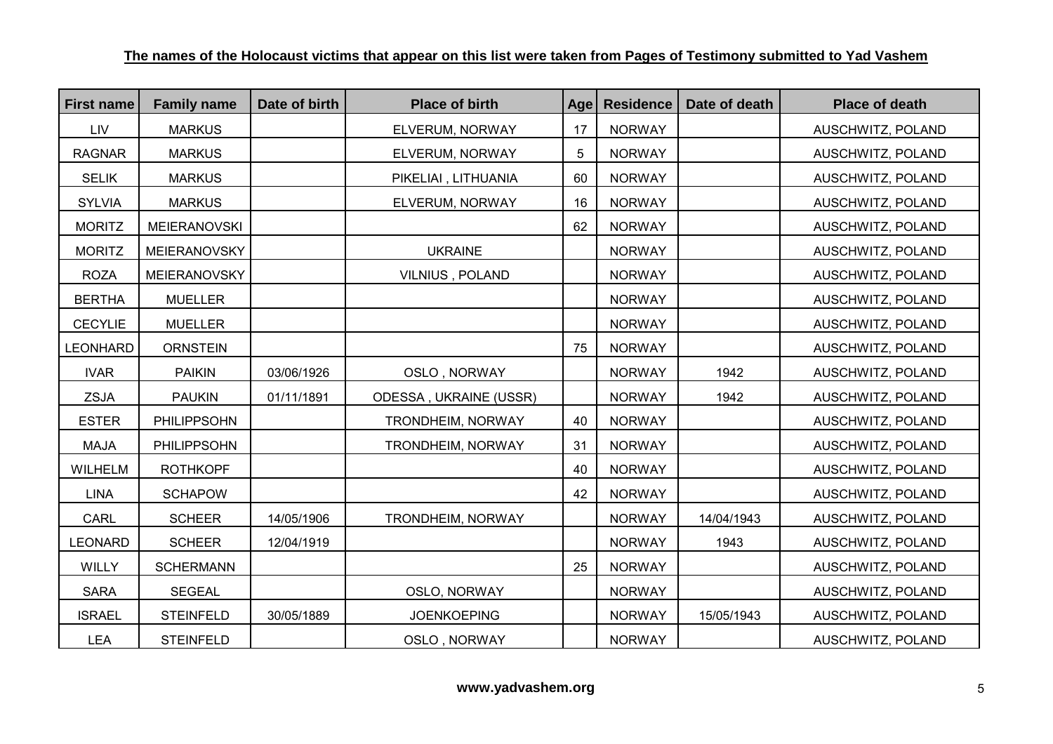| <b>First name</b> | <b>Family name</b>  | Date of birth | <b>Place of birth</b>    | Age | <b>Residence</b> | Date of death | <b>Place of death</b> |
|-------------------|---------------------|---------------|--------------------------|-----|------------------|---------------|-----------------------|
| LIV               | <b>MARKUS</b>       |               | ELVERUM, NORWAY          | 17  | <b>NORWAY</b>    |               | AUSCHWITZ, POLAND     |
| <b>RAGNAR</b>     | <b>MARKUS</b>       |               | ELVERUM, NORWAY          | 5   | <b>NORWAY</b>    |               | AUSCHWITZ, POLAND     |
| <b>SELIK</b>      | <b>MARKUS</b>       |               | PIKELIAI, LITHUANIA      | 60  | <b>NORWAY</b>    |               | AUSCHWITZ, POLAND     |
| <b>SYLVIA</b>     | <b>MARKUS</b>       |               | ELVERUM, NORWAY          | 16  | <b>NORWAY</b>    |               | AUSCHWITZ, POLAND     |
| <b>MORITZ</b>     | <b>MEIERANOVSKI</b> |               |                          | 62  | <b>NORWAY</b>    |               | AUSCHWITZ, POLAND     |
| <b>MORITZ</b>     | MEIERANOVSKY        |               | <b>UKRAINE</b>           |     | <b>NORWAY</b>    |               | AUSCHWITZ, POLAND     |
| <b>ROZA</b>       | MEIERANOVSKY        |               | VILNIUS, POLAND          |     | <b>NORWAY</b>    |               | AUSCHWITZ, POLAND     |
| <b>BERTHA</b>     | <b>MUELLER</b>      |               |                          |     | <b>NORWAY</b>    |               | AUSCHWITZ, POLAND     |
| <b>CECYLIE</b>    | <b>MUELLER</b>      |               |                          |     | <b>NORWAY</b>    |               | AUSCHWITZ, POLAND     |
| <b>LEONHARD</b>   | <b>ORNSTEIN</b>     |               |                          | 75  | <b>NORWAY</b>    |               | AUSCHWITZ, POLAND     |
| <b>IVAR</b>       | <b>PAIKIN</b>       | 03/06/1926    | OSLO, NORWAY             |     | <b>NORWAY</b>    | 1942          | AUSCHWITZ, POLAND     |
| <b>ZSJA</b>       | <b>PAUKIN</b>       | 01/11/1891    | ODESSA, UKRAINE (USSR)   |     | <b>NORWAY</b>    | 1942          | AUSCHWITZ, POLAND     |
| <b>ESTER</b>      | PHILIPPSOHN         |               | TRONDHEIM, NORWAY        | 40  | <b>NORWAY</b>    |               | AUSCHWITZ, POLAND     |
| <b>MAJA</b>       | PHILIPPSOHN         |               | <b>TRONDHEIM, NORWAY</b> | 31  | <b>NORWAY</b>    |               | AUSCHWITZ, POLAND     |
| WILHELM           | <b>ROTHKOPF</b>     |               |                          | 40  | <b>NORWAY</b>    |               | AUSCHWITZ, POLAND     |
| <b>LINA</b>       | <b>SCHAPOW</b>      |               |                          | 42  | <b>NORWAY</b>    |               | AUSCHWITZ, POLAND     |
| CARL              | <b>SCHEER</b>       | 14/05/1906    | <b>TRONDHEIM, NORWAY</b> |     | <b>NORWAY</b>    | 14/04/1943    | AUSCHWITZ, POLAND     |
| <b>LEONARD</b>    | <b>SCHEER</b>       | 12/04/1919    |                          |     | <b>NORWAY</b>    | 1943          | AUSCHWITZ, POLAND     |
| <b>WILLY</b>      | <b>SCHERMANN</b>    |               |                          | 25  | <b>NORWAY</b>    |               | AUSCHWITZ, POLAND     |
| <b>SARA</b>       | <b>SEGEAL</b>       |               | OSLO, NORWAY             |     | <b>NORWAY</b>    |               | AUSCHWITZ, POLAND     |
| <b>ISRAEL</b>     | <b>STEINFELD</b>    | 30/05/1889    | <b>JOENKOEPING</b>       |     | <b>NORWAY</b>    | 15/05/1943    | AUSCHWITZ, POLAND     |
| <b>LEA</b>        | <b>STEINFELD</b>    |               | OSLO, NORWAY             |     | <b>NORWAY</b>    |               | AUSCHWITZ, POLAND     |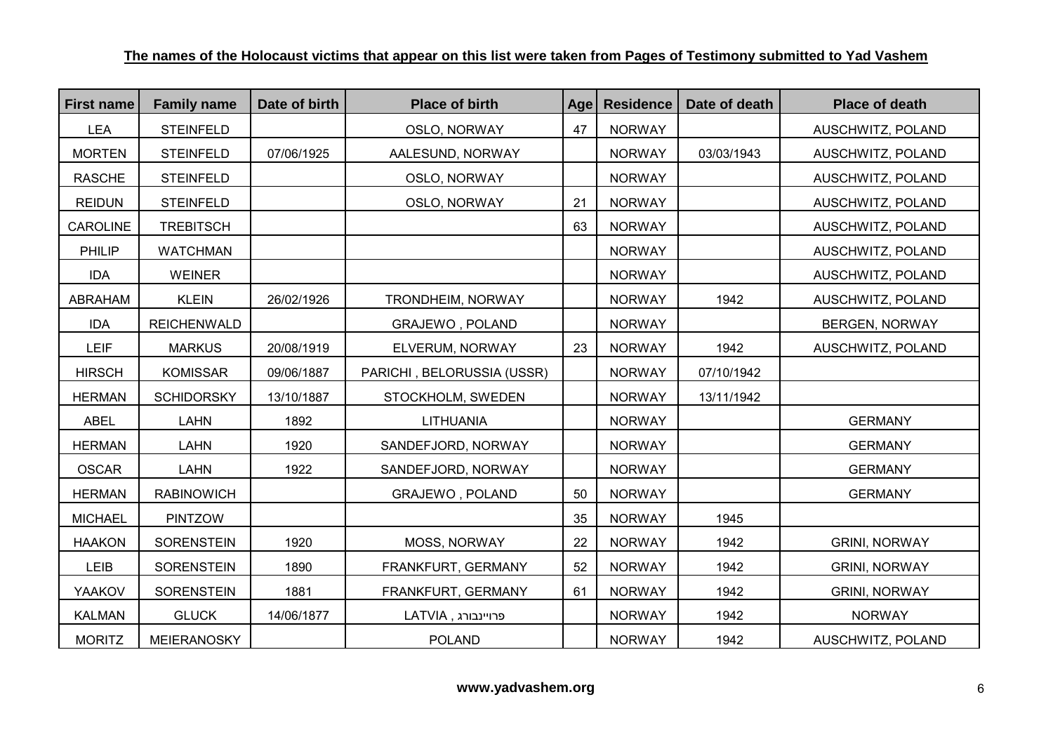| <b>First name</b> | <b>Family name</b> | Date of birth | <b>Place of birth</b>      | Age | <b>Residence</b> | Date of death | <b>Place of death</b> |
|-------------------|--------------------|---------------|----------------------------|-----|------------------|---------------|-----------------------|
| <b>LEA</b>        | <b>STEINFELD</b>   |               | OSLO, NORWAY               | 47  | <b>NORWAY</b>    |               | AUSCHWITZ, POLAND     |
| <b>MORTEN</b>     | <b>STEINFELD</b>   | 07/06/1925    | AALESUND, NORWAY           |     | <b>NORWAY</b>    | 03/03/1943    | AUSCHWITZ, POLAND     |
| <b>RASCHE</b>     | <b>STEINFELD</b>   |               | OSLO, NORWAY               |     | <b>NORWAY</b>    |               | AUSCHWITZ, POLAND     |
| <b>REIDUN</b>     | <b>STEINFELD</b>   |               | OSLO, NORWAY               | 21  | <b>NORWAY</b>    |               | AUSCHWITZ, POLAND     |
| <b>CAROLINE</b>   | <b>TREBITSCH</b>   |               |                            | 63  | <b>NORWAY</b>    |               | AUSCHWITZ, POLAND     |
| PHILIP            | <b>WATCHMAN</b>    |               |                            |     | <b>NORWAY</b>    |               | AUSCHWITZ, POLAND     |
| <b>IDA</b>        | <b>WEINER</b>      |               |                            |     | <b>NORWAY</b>    |               | AUSCHWITZ, POLAND     |
| <b>ABRAHAM</b>    | <b>KLEIN</b>       | 26/02/1926    | TRONDHEIM, NORWAY          |     | <b>NORWAY</b>    | 1942          | AUSCHWITZ, POLAND     |
| <b>IDA</b>        | <b>REICHENWALD</b> |               | GRAJEWO, POLAND            |     | <b>NORWAY</b>    |               | <b>BERGEN, NORWAY</b> |
| <b>LEIF</b>       | <b>MARKUS</b>      | 20/08/1919    | ELVERUM, NORWAY            | 23  | <b>NORWAY</b>    | 1942          | AUSCHWITZ, POLAND     |
| <b>HIRSCH</b>     | <b>KOMISSAR</b>    | 09/06/1887    | PARICHI, BELORUSSIA (USSR) |     | <b>NORWAY</b>    | 07/10/1942    |                       |
| <b>HERMAN</b>     | <b>SCHIDORSKY</b>  | 13/10/1887    | STOCKHOLM, SWEDEN          |     | <b>NORWAY</b>    | 13/11/1942    |                       |
| <b>ABEL</b>       | <b>LAHN</b>        | 1892          | <b>LITHUANIA</b>           |     | <b>NORWAY</b>    |               | <b>GERMANY</b>        |
| <b>HERMAN</b>     | <b>LAHN</b>        | 1920          | SANDEFJORD, NORWAY         |     | <b>NORWAY</b>    |               | <b>GERMANY</b>        |
| <b>OSCAR</b>      | <b>LAHN</b>        | 1922          | SANDEFJORD, NORWAY         |     | <b>NORWAY</b>    |               | <b>GERMANY</b>        |
| <b>HERMAN</b>     | <b>RABINOWICH</b>  |               | GRAJEWO, POLAND            | 50  | <b>NORWAY</b>    |               | <b>GERMANY</b>        |
| <b>MICHAEL</b>    | <b>PINTZOW</b>     |               |                            | 35  | <b>NORWAY</b>    | 1945          |                       |
| <b>HAAKON</b>     | <b>SORENSTEIN</b>  | 1920          | MOSS, NORWAY               | 22  | <b>NORWAY</b>    | 1942          | <b>GRINI, NORWAY</b>  |
| LEIB              | <b>SORENSTEIN</b>  | 1890          | FRANKFURT, GERMANY         | 52  | <b>NORWAY</b>    | 1942          | <b>GRINI, NORWAY</b>  |
| YAAKOV            | <b>SORENSTEIN</b>  | 1881          | FRANKFURT, GERMANY         | 61  | <b>NORWAY</b>    | 1942          | <b>GRINI, NORWAY</b>  |
| <b>KALMAN</b>     | <b>GLUCK</b>       | 14/06/1877    | פרויינבורג, LATVIA         |     | <b>NORWAY</b>    | 1942          | <b>NORWAY</b>         |
| <b>MORITZ</b>     | MEIERANOSKY        |               | <b>POLAND</b>              |     | <b>NORWAY</b>    | 1942          | AUSCHWITZ, POLAND     |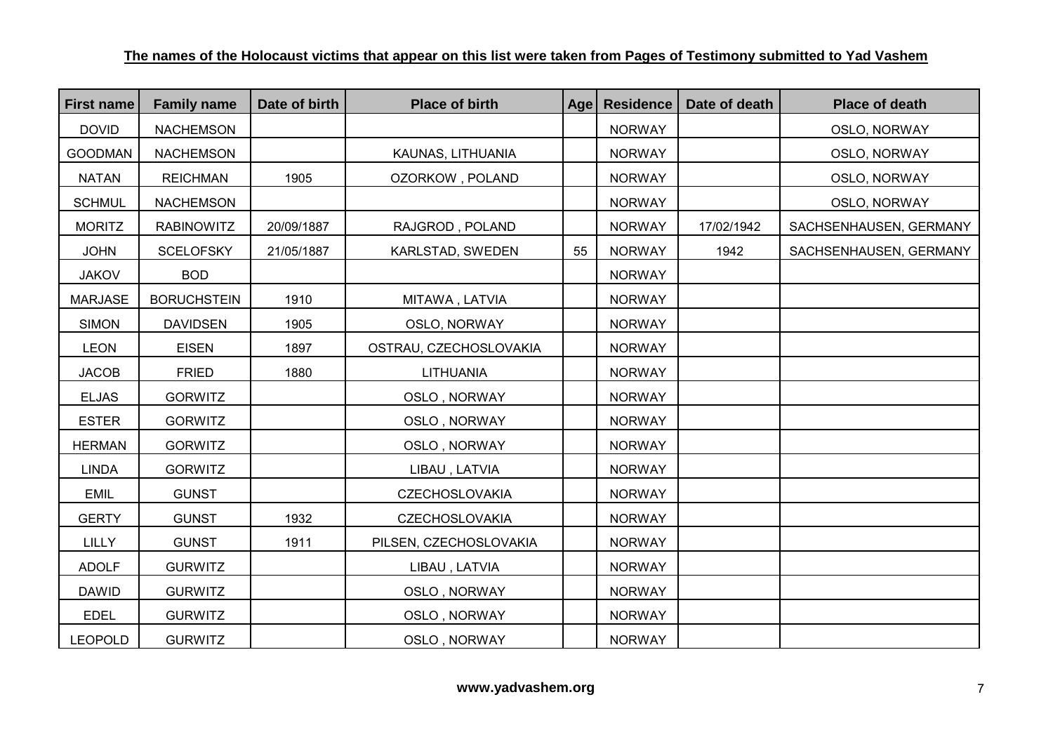| <b>First name</b> | <b>Family name</b> | Date of birth | <b>Place of birth</b>  | Age | <b>Residence</b> | Date of death | <b>Place of death</b>  |
|-------------------|--------------------|---------------|------------------------|-----|------------------|---------------|------------------------|
| <b>DOVID</b>      | <b>NACHEMSON</b>   |               |                        |     | <b>NORWAY</b>    |               | OSLO, NORWAY           |
| <b>GOODMAN</b>    | <b>NACHEMSON</b>   |               | KAUNAS, LITHUANIA      |     | <b>NORWAY</b>    |               | OSLO, NORWAY           |
| <b>NATAN</b>      | <b>REICHMAN</b>    | 1905          | OZORKOW, POLAND        |     | <b>NORWAY</b>    |               | OSLO, NORWAY           |
| <b>SCHMUL</b>     | <b>NACHEMSON</b>   |               |                        |     | <b>NORWAY</b>    |               | OSLO, NORWAY           |
| <b>MORITZ</b>     | <b>RABINOWITZ</b>  | 20/09/1887    | RAJGROD, POLAND        |     | <b>NORWAY</b>    | 17/02/1942    | SACHSENHAUSEN, GERMANY |
| <b>JOHN</b>       | <b>SCELOFSKY</b>   | 21/05/1887    | KARLSTAD, SWEDEN       | 55  | <b>NORWAY</b>    | 1942          | SACHSENHAUSEN, GERMANY |
| <b>JAKOV</b>      | <b>BOD</b>         |               |                        |     | <b>NORWAY</b>    |               |                        |
| <b>MARJASE</b>    | <b>BORUCHSTEIN</b> | 1910          | MITAWA, LATVIA         |     | <b>NORWAY</b>    |               |                        |
| <b>SIMON</b>      | <b>DAVIDSEN</b>    | 1905          | OSLO, NORWAY           |     | <b>NORWAY</b>    |               |                        |
| <b>LEON</b>       | <b>EISEN</b>       | 1897          | OSTRAU, CZECHOSLOVAKIA |     | <b>NORWAY</b>    |               |                        |
| <b>JACOB</b>      | <b>FRIED</b>       | 1880          | <b>LITHUANIA</b>       |     | <b>NORWAY</b>    |               |                        |
| <b>ELJAS</b>      | <b>GORWITZ</b>     |               | OSLO, NORWAY           |     | <b>NORWAY</b>    |               |                        |
| <b>ESTER</b>      | <b>GORWITZ</b>     |               | OSLO, NORWAY           |     | <b>NORWAY</b>    |               |                        |
| <b>HERMAN</b>     | <b>GORWITZ</b>     |               | OSLO, NORWAY           |     | <b>NORWAY</b>    |               |                        |
| <b>LINDA</b>      | <b>GORWITZ</b>     |               | LIBAU, LATVIA          |     | <b>NORWAY</b>    |               |                        |
| <b>EMIL</b>       | <b>GUNST</b>       |               | <b>CZECHOSLOVAKIA</b>  |     | <b>NORWAY</b>    |               |                        |
| <b>GERTY</b>      | <b>GUNST</b>       | 1932          | <b>CZECHOSLOVAKIA</b>  |     | <b>NORWAY</b>    |               |                        |
| <b>LILLY</b>      | <b>GUNST</b>       | 1911          | PILSEN, CZECHOSLOVAKIA |     | <b>NORWAY</b>    |               |                        |
| <b>ADOLF</b>      | <b>GURWITZ</b>     |               | LIBAU, LATVIA          |     | <b>NORWAY</b>    |               |                        |
| <b>DAWID</b>      | <b>GURWITZ</b>     |               | OSLO, NORWAY           |     | <b>NORWAY</b>    |               |                        |
| <b>EDEL</b>       | <b>GURWITZ</b>     |               | OSLO, NORWAY           |     | <b>NORWAY</b>    |               |                        |
| <b>LEOPOLD</b>    | <b>GURWITZ</b>     |               | OSLO, NORWAY           |     | <b>NORWAY</b>    |               |                        |